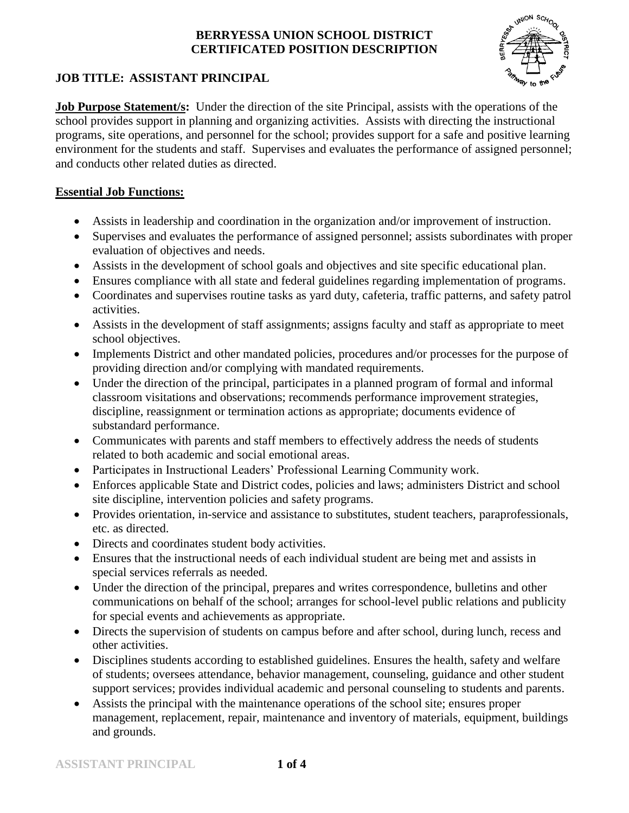

# **JOB TITLE: ASSISTANT PRINCIPAL**

**Job Purpose Statement/s:** Under the direction of the site Principal, assists with the operations of the school provides support in planning and organizing activities. Assists with directing the instructional programs, site operations, and personnel for the school; provides support for a safe and positive learning environment for the students and staff. Supervises and evaluates the performance of assigned personnel; and conducts other related duties as directed.

### **Essential Job Functions:**

- Assists in leadership and coordination in the organization and/or improvement of instruction.
- Supervises and evaluates the performance of assigned personnel; assists subordinates with proper evaluation of objectives and needs.
- Assists in the development of school goals and objectives and site specific educational plan.
- Ensures compliance with all state and federal guidelines regarding implementation of programs.
- Coordinates and supervises routine tasks as yard duty, cafeteria, traffic patterns, and safety patrol activities.
- Assists in the development of staff assignments; assigns faculty and staff as appropriate to meet school objectives.
- Implements District and other mandated policies, procedures and/or processes for the purpose of providing direction and/or complying with mandated requirements.
- Under the direction of the principal, participates in a planned program of formal and informal classroom visitations and observations; recommends performance improvement strategies, discipline, reassignment or termination actions as appropriate; documents evidence of substandard performance.
- Communicates with parents and staff members to effectively address the needs of students related to both academic and social emotional areas.
- Participates in Instructional Leaders' Professional Learning Community work.
- Enforces applicable State and District codes, policies and laws; administers District and school site discipline, intervention policies and safety programs.
- Provides orientation, in-service and assistance to substitutes, student teachers, paraprofessionals, etc. as directed.
- Directs and coordinates student body activities.
- Ensures that the instructional needs of each individual student are being met and assists in special services referrals as needed.
- Under the direction of the principal, prepares and writes correspondence, bulletins and other communications on behalf of the school; arranges for school-level public relations and publicity for special events and achievements as appropriate.
- Directs the supervision of students on campus before and after school, during lunch, recess and other activities.
- Disciplines students according to established guidelines. Ensures the health, safety and welfare of students; oversees attendance, behavior management, counseling, guidance and other student support services; provides individual academic and personal counseling to students and parents.
- Assists the principal with the maintenance operations of the school site; ensures proper management, replacement, repair, maintenance and inventory of materials, equipment, buildings and grounds.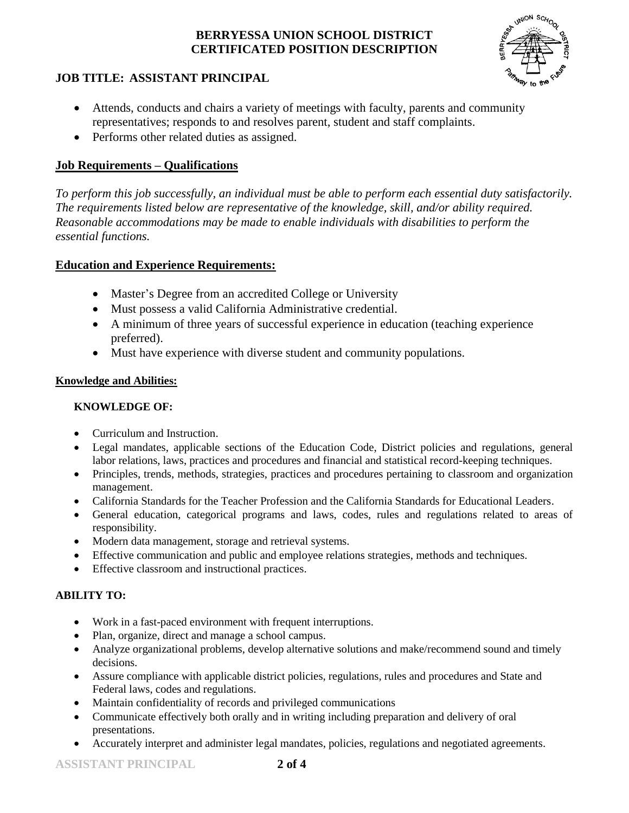

# **JOB TITLE: ASSISTANT PRINCIPAL**

- Attends, conducts and chairs a variety of meetings with faculty, parents and community representatives; responds to and resolves parent, student and staff complaints.
- Performs other related duties as assigned.

### **Job Requirements – Qualifications**

*To perform this job successfully, an individual must be able to perform each essential duty satisfactorily. The requirements listed below are representative of the knowledge, skill, and/or ability required. Reasonable accommodations may be made to enable individuals with disabilities to perform the essential functions.*

### **Education and Experience Requirements:**

- Master's Degree from an accredited College or University
- Must possess a valid California Administrative credential.
- A minimum of three years of successful experience in education (teaching experience preferred).
- Must have experience with diverse student and community populations.

### **Knowledge and Abilities:**

### **KNOWLEDGE OF:**

- Curriculum and Instruction.
- Legal mandates, applicable sections of the Education Code, District policies and regulations, general labor relations, laws, practices and procedures and financial and statistical record-keeping techniques.
- Principles, trends, methods, strategies, practices and procedures pertaining to classroom and organization management.
- California Standards for the Teacher Profession and the California Standards for Educational Leaders.
- General education, categorical programs and laws, codes, rules and regulations related to areas of responsibility.
- Modern data management, storage and retrieval systems.
- Effective communication and public and employee relations strategies, methods and techniques.
- Effective classroom and instructional practices.

### **ABILITY TO:**

- Work in a fast-paced environment with frequent interruptions.
- Plan, organize, direct and manage a school campus.
- Analyze organizational problems, develop alternative solutions and make/recommend sound and timely decisions.
- Assure compliance with applicable district policies, regulations, rules and procedures and State and Federal laws, codes and regulations.
- Maintain confidentiality of records and privileged communications
- Communicate effectively both orally and in writing including preparation and delivery of oral presentations.
- Accurately interpret and administer legal mandates, policies, regulations and negotiated agreements.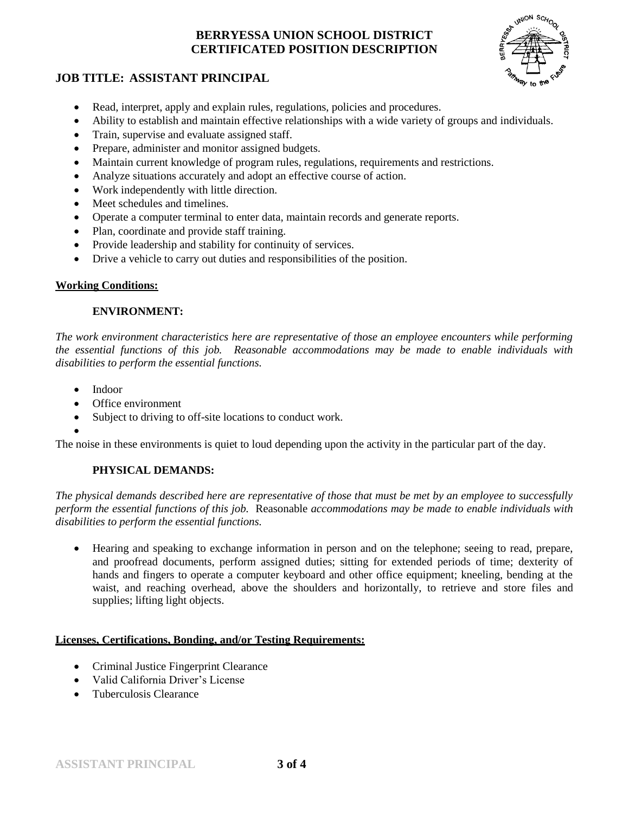

### **JOB TITLE: ASSISTANT PRINCIPAL**

- Read, interpret, apply and explain rules, regulations, policies and procedures.
- Ability to establish and maintain effective relationships with a wide variety of groups and individuals.
- Train, supervise and evaluate assigned staff.
- Prepare, administer and monitor assigned budgets.
- Maintain current knowledge of program rules, regulations, requirements and restrictions.
- Analyze situations accurately and adopt an effective course of action.
- Work independently with little direction.
- Meet schedules and timelines.
- Operate a computer terminal to enter data, maintain records and generate reports.
- Plan, coordinate and provide staff training.
- Provide leadership and stability for continuity of services.
- Drive a vehicle to carry out duties and responsibilities of the position.

#### **Working Conditions:**

#### **ENVIRONMENT:**

*The work environment characteristics here are representative of those an employee encounters while performing the essential functions of this job. Reasonable accommodations may be made to enable individuals with disabilities to perform the essential functions.*

- Indoor
- Office environment
- Subject to driving to off-site locations to conduct work.
- $\bullet$

The noise in these environments is quiet to loud depending upon the activity in the particular part of the day.

### **PHYSICAL DEMANDS:**

*The physical demands described here are representative of those that must be met by an employee to successfully perform the essential functions of this job.* Reasonable *accommodations may be made to enable individuals with disabilities to perform the essential functions.*

 Hearing and speaking to exchange information in person and on the telephone; seeing to read, prepare, and proofread documents, perform assigned duties; sitting for extended periods of time; dexterity of hands and fingers to operate a computer keyboard and other office equipment; kneeling, bending at the waist, and reaching overhead, above the shoulders and horizontally, to retrieve and store files and supplies; lifting light objects.

#### **Licenses, Certifications, Bonding, and/or Testing Requirements:**

- Criminal Justice Fingerprint Clearance
- Valid California Driver's License
- Tuberculosis Clearance